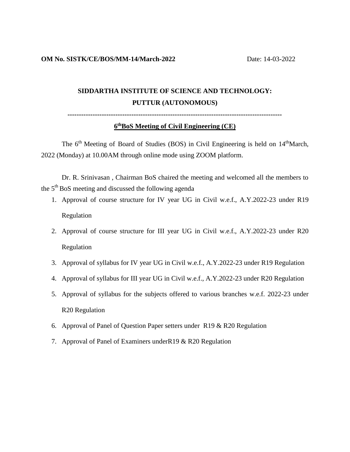# **SIDDARTHA INSTITUTE OF SCIENCE AND TECHNOLOGY: PUTTUR (AUTONOMOUS)**

# **---------------------------------------------------------------------------------------------- 6 thBoS Meeting of Civil Engineering (CE)**

The 6<sup>th</sup> Meeting of Board of Studies (BOS) in Civil Engineering is held on 14<sup>th</sup>March, 2022 (Monday) at 10.00AM through online mode using ZOOM platform.

Dr. R. Srinivasan , Chairman BoS chaired the meeting and welcomed all the members to the  $5<sup>th</sup>$  BoS meeting and discussed the following agenda

- 1. Approval of course structure for IV year UG in Civil w.e.f., A.Y.2022-23 under R19 Regulation
- 2. Approval of course structure for III year UG in Civil w.e.f., A.Y.2022-23 under R20 Regulation
- 3. Approval of syllabus for IV year UG in Civil w.e.f., A.Y.2022-23 under R19 Regulation
- 4. Approval of syllabus for III year UG in Civil w.e.f., A.Y.2022-23 under R20 Regulation
- 5. Approval of syllabus for the subjects offered to various branches w.e.f. 2022-23 under R20 Regulation
- 6. Approval of Panel of Question Paper setters under R19 & R20 Regulation
- 7. Approval of Panel of Examiners underR19 & R20 Regulation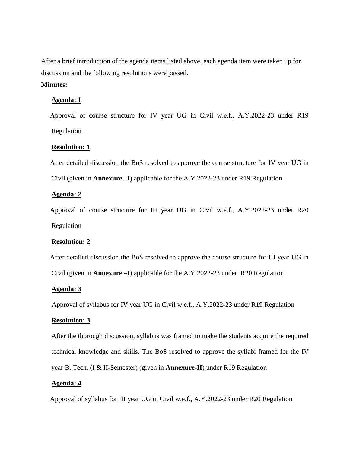After a brief introduction of the agenda items listed above, each agenda item were taken up for discussion and the following resolutions were passed.

## **Minutes:**

### **Agenda: 1**

 Approval of course structure for IV year UG in Civil w.e.f., A.Y.2022-23 under R19 Regulation

### **Resolution: 1**

 After detailed discussion the BoS resolved to approve the course structure for IV year UG in Civil (given in **Annexure –I**) applicable for the A.Y.2022-23 under R19 Regulation

#### **Agenda: 2**

 Approval of course structure for III year UG in Civil w.e.f., A.Y.2022-23 under R20 Regulation

#### **Resolution: 2**

After detailed discussion the BoS resolved to approve the course structure for III year UG in

Civil (given in **Annexure –I**) applicable for the A.Y.2022-23 under R20 Regulation

#### **Agenda: 3**

Approval of syllabus for IV year UG in Civil w.e.f., A.Y.2022-23 under R19 Regulation

#### **Resolution: 3**

After the thorough discussion, syllabus was framed to make the students acquire the required technical knowledge and skills. The BoS resolved to approve the syllabi framed for the IV year B. Tech. (I & II-Semester) (given in **Annexure-II**) under R19 Regulation

#### **Agenda: 4**

Approval of syllabus for III year UG in Civil w.e.f., A.Y.2022-23 under R20 Regulation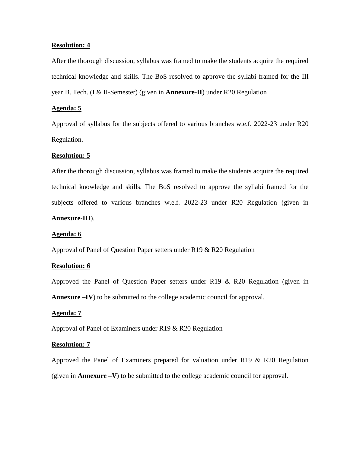#### **Resolution: 4**

After the thorough discussion, syllabus was framed to make the students acquire the required technical knowledge and skills. The BoS resolved to approve the syllabi framed for the III year B. Tech. (I & II-Semester) (given in **Annexure-II**) under R20 Regulation

#### **Agenda: 5**

Approval of syllabus for the subjects offered to various branches w.e.f. 2022-23 under R20 Regulation.

### **Resolution: 5**

After the thorough discussion, syllabus was framed to make the students acquire the required technical knowledge and skills. The BoS resolved to approve the syllabi framed for the subjects offered to various branches w.e.f. 2022-23 under R20 Regulation (given in **Annexure-III**).

#### **Agenda: 6**

Approval of Panel of Question Paper setters under R19 & R20 Regulation

#### **Resolution: 6**

Approved the Panel of Question Paper setters under R19 & R20 Regulation (given in **Annexure –IV**) to be submitted to the college academic council for approval.

#### **Agenda: 7**

Approval of Panel of Examiners under R19 & R20 Regulation

#### **Resolution: 7**

Approved the Panel of Examiners prepared for valuation under R19 & R20 Regulation (given in **Annexure –V**) to be submitted to the college academic council for approval.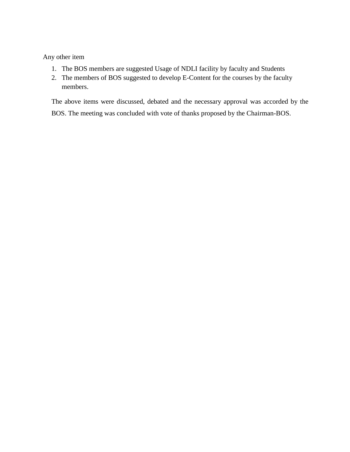Any other item

- 1. The BOS members are suggested Usage of NDLI facility by faculty and Students
- 2. The members of BOS suggested to develop E-Content for the courses by the faculty members.

The above items were discussed, debated and the necessary approval was accorded by the BOS. The meeting was concluded with vote of thanks proposed by the Chairman-BOS.